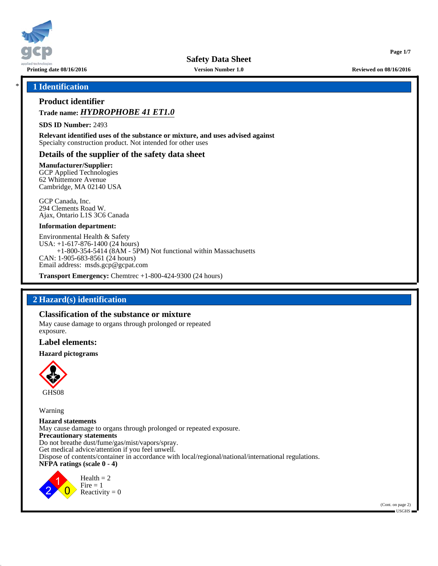

**Page 1/7**

### \* **1 Identification**

# **Product identifier**

# **Trade name:** *HYDROPHOBE 41 ET1.0*

**SDS ID Number:** 2493

**Relevant identified uses of the substance or mixture, and uses advised against** Specialty construction product. Not intended for other uses

### **Details of the supplier of the safety data sheet**

**Manufacturer/Supplier:** GCP Applied Technologies

62 Whittemore Avenue Cambridge, MA 02140 USA

GCP Canada, Inc. 294 Clements Road W. Ajax, Ontario L1S 3C6 Canada

#### **Information department:**

Environmental Health & Safety USA: +1-617-876-1400 (24 hours) +1-800-354-5414 (8AM - 5PM) Not functional within Massachusetts CAN: 1-905-683-8561 (24 hours) Email address: msds.gcp@gcpat.com

**Transport Emergency:** Chemtrec +1-800-424-9300 (24 hours)

## **2 Hazard(s) identification**

### **Classification of the substance or mixture**

May cause damage to organs through prolonged or repeated exposure.

#### **Label elements:**

#### **Hazard pictograms**



Warning

**Hazard statements** May cause damage to organs through prolonged or repeated exposure. **Precautionary statements** Do not breathe dust/fume/gas/mist/vapors/spray. Get medical advice/attention if you feel unwell. Dispose of contents/container in accordance with local/regional/national/international regulations. **NFPA ratings (scale 0 - 4)**



 $Health = 2$  $Fire = 1$ Reactivity  $= 0$ 

> (Cont. on page 2)  $\blacksquare$  USGHS  $\blacksquare$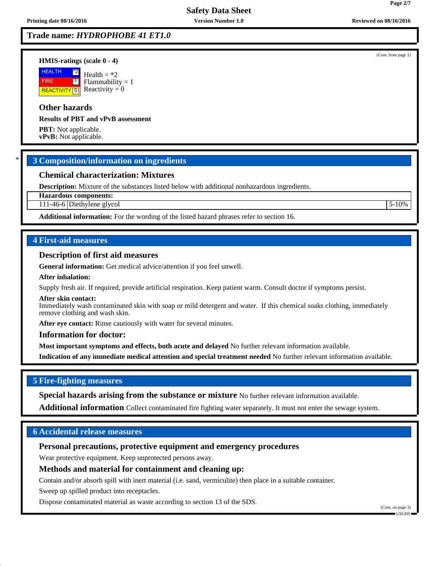# **Trade name:** *HYDROPHOBE 41 ET1.0*

#### **HMIS-ratings (scale 0 - 4)**

**HEALTH**  FIRE **REACTIVITY** 0 \*2  $\boxed{1}$ Health  $=$  \*2  $Flammability = 1$ Reactivity  $= 0$ 

# **Other hazards**

**Results of PBT and vPvB assessment**

**PBT:** Not applicable. **vPvB:** Not applicable.

## \* **3 Composition/information on ingredients**

## **Chemical characterization: Mixtures**

**Description:** Mixture of the substances listed below with additional nonhazardous ingredients.

**Hazardous components:**

111-46-6 Diethylene glycol 5-10%

**Additional information:** For the wording of the listed hazard phrases refer to section 16.

## **4 First-aid measures**

#### **Description of first aid measures**

**General information:** Get medical advice/attention if you feel unwell.

#### **After inhalation:**

Supply fresh air. If required, provide artificial respiration. Keep patient warm. Consult doctor if symptoms persist.

#### **After skin contact:**

Immediately wash contaminated skin with soap or mild detergent and water. If this chemical soaks clothing, immediately remove clothing and wash skin.

After eye contact: Rinse cautiously with water for several minutes.

#### **Information for doctor:**

**Most important symptoms and effects, both acute and delayed** No further relevant information available.

**Indication of any immediate medical attention and special treatment needed** No further relevant information available.

## **5 Fire-fighting measures**

**Special hazards arising from the substance or mixture** No further relevant information available.

**Additional information** Collect contaminated fire fighting water separately. It must not enter the sewage system.

## **6 Accidental release measures**

# **Personal precautions, protective equipment and emergency procedures**

Wear protective equipment. Keep unprotected persons away.

## **Methods and material for containment and cleaning up:**

Contain and/or absorb spill with inert material (i.e. sand, vermiculite) then place in a suitable container.

Sweep up spilled product into receptacles.

Dispose contaminated material as waste according to section 13 of the SDS.

(Cont. on page 3) USGHS

(Cont. from page 1)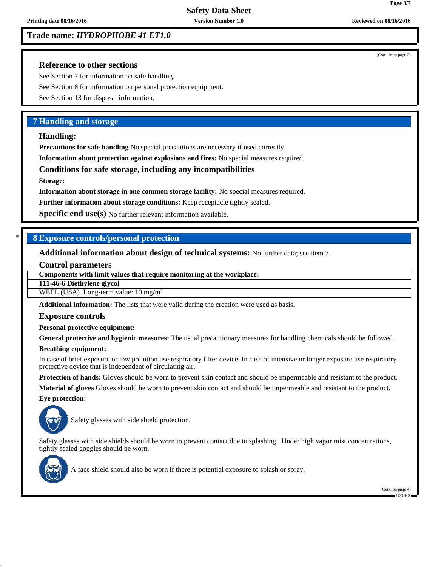**Trade name:** *HYDROPHOBE 41 ET1.0*

## **Reference to other sections**

See Section 7 for information on safe handling.

See Section 8 for information on personal protection equipment.

See Section 13 for disposal information.

## **7 Handling and storage**

### **Handling:**

**Precautions for safe handling** No special precautions are necessary if used correctly.

**Information about protection against explosions and fires:** No special measures required.

### **Conditions for safe storage, including any incompatibilities**

**Storage:**

**Information about storage in one common storage facility:** No special measures required.

**Further information about storage conditions:** Keep receptacle tightly sealed.

**Specific end use(s)** No further relevant information available.

## \* **8 Exposure controls/personal protection**

**Additional information about design of technical systems:** No further data; see item 7.

#### **Control parameters**

**Components with limit values that require monitoring at the workplace:**

**111-46-6 Diethylene glycol**

WEEL  $(USA)$  Long-term value: 10 mg/m<sup>3</sup>

**Additional information:** The lists that were valid during the creation were used as basis.

#### **Exposure controls**

**Personal protective equipment:**

**General protective and hygienic measures:** The usual precautionary measures for handling chemicals should be followed.

#### **Breathing equipment:**

In case of brief exposure or low pollution use respiratory filter device. In case of intensive or longer exposure use respiratory protective device that is independent of circulating air.

**Protection of hands:** Gloves should be worn to prevent skin contact and should be impermeable and resistant to the product.

**Material of gloves** Gloves should be worn to prevent skin contact and should be impermeable and resistant to the product.

**Eye protection:**



Safety glasses with side shield protection.

Safety glasses with side shields should be worn to prevent contact due to splashing. Under high vapor mist concentrations, tightly sealed goggles should be worn.



A face shield should also be worn if there is potential exposure to splash or spray.

(Cont. on page 4)  $\blacksquare$ USGHS $\blacksquare$ 

(Cont. from page 2)

**Page 3/7**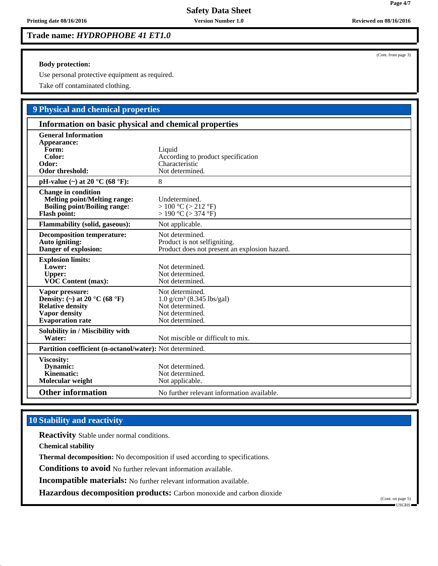**Trade name:** *HYDROPHOBE 41 ET1.0*

**Body protection:**

Use personal protective equipment as required.

Take off contaminated clothing.

# **9 Physical and chemical properties**

| Information on basic physical and chemical properties                                                                                              |                                                                                                                  |  |
|----------------------------------------------------------------------------------------------------------------------------------------------------|------------------------------------------------------------------------------------------------------------------|--|
| <b>General Information</b><br>Appearance:<br>Form:<br>Color:<br>Odor:<br><b>Odor threshold:</b>                                                    | Liquid<br>According to product specification<br>Characteristic<br>Not determined.                                |  |
| pH-value $(\sim)$ at 20 °C (68 °F):                                                                                                                | 8                                                                                                                |  |
| <b>Change in condition</b><br><b>Melting point/Melting range:</b><br><b>Boiling point/Boiling range:</b><br><b>Flash point:</b>                    | Undetermined.<br>$> 100$ °C ( $> 212$ °F)<br>$> 190$ °C ( $> 374$ °F)                                            |  |
| <b>Flammability (solid, gaseous):</b>                                                                                                              | Not applicable.                                                                                                  |  |
| <b>Decomposition temperature:</b><br>Auto igniting:<br>Danger of explosion:                                                                        | Not determined.<br>Product is not selfigniting.<br>Product does not present an explosion hazard.                 |  |
| <b>Explosion limits:</b><br>Lower:<br><b>Upper:</b><br><b>VOC Content (max):</b>                                                                   | Not determined.<br>Not determined.<br>Not determined.                                                            |  |
| Vapor pressure:<br>Density: (~) at 20 $^{\circ}$ C (68 $^{\circ}$ F)<br><b>Relative density</b><br><b>Vapor density</b><br><b>Evaporation</b> rate | Not determined.<br>$1.0 \text{ g/cm}^3$ (8.345 lbs/gal)<br>Not determined.<br>Not determined.<br>Not determined. |  |
| Solubility in / Miscibility with<br>Water:                                                                                                         | Not miscible or difficult to mix.                                                                                |  |
| Partition coefficient (n-octanol/water): Not determined.                                                                                           |                                                                                                                  |  |
| Viscosity:<br>Dynamic:<br>Kinematic:<br>Molecular weight                                                                                           | Not determined.<br>Not determined.<br>Not applicable.                                                            |  |
| <b>Other information</b>                                                                                                                           | No further relevant information available.                                                                       |  |

# **10 Stability and reactivity**

**Reactivity** Stable under normal conditions.

**Chemical stability**

**Thermal decomposition:** No decomposition if used according to specifications.

**Conditions to avoid** No further relevant information available.

**Incompatible materials:** No further relevant information available.

**Hazardous decomposition products:** Carbon monoxide and carbon dioxide

(Cont. on page 5)  $\blacksquare$  USGHS

(Cont. from page 3)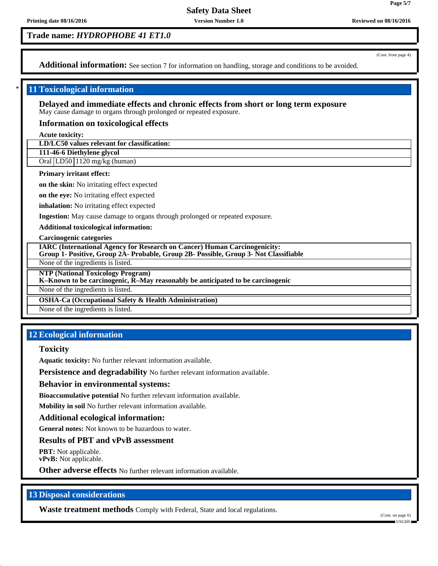# **Trade name:** *HYDROPHOBE 41 ET1.0*

(Cont. from page 4)

**Page 5/7**

Additional information: See section 7 for information on handling, storage and conditions to be avoided.

## **11 Toxicological information**

**Delayed and immediate effects and chronic effects from short or long term exposure** May cause damage to organs through prolonged or repeated exposure.

### **Information on toxicological effects**

**Acute toxicity:**

**LD/LC50 values relevant for classification:**

**111-46-6 Diethylene glycol**

Oral LD50 1120 mg/kg (human)

#### **Primary irritant effect:**

**on the skin:** No irritating effect expected

**on the eye:** No irritating effect expected

**inhalation:** No irritating effect expected

**Ingestion:** May cause damage to organs through prolonged or repeated exposure.

**Additional toxicological information:**

**Carcinogenic categories**

**IARC (International Agency for Research on Cancer) Human Carcinogenicity:**

**Group 1- Positive, Group 2A- Probable, Group 2B- Possible, Group 3- Not Classifiable**

None of the ingredients is listed.

**NTP (National Toxicology Program)**

**K–Known to be carcinogenic, R–May reasonably be anticipated to be carcinogenic**

None of the ingredients is listed.

**OSHA-Ca (Occupational Safety & Health Administration)**

None of the ingredients is listed.

## **12 Ecological information**

### **Toxicity**

**Aquatic toxicity:** No further relevant information available.

**Persistence and degradability** No further relevant information available.

**Behavior in environmental systems:**

**Bioaccumulative potential** No further relevant information available.

**Mobility in soil** No further relevant information available.

#### **Additional ecological information:**

**General notes:** Not known to be hazardous to water.

**Results of PBT and vPvB assessment**

**PBT:** Not applicable. **vPvB:** Not applicable.

**Other adverse effects** No further relevant information available.

## **13 Disposal considerations**

**Waste treatment methods** Comply with Federal, State and local regulations.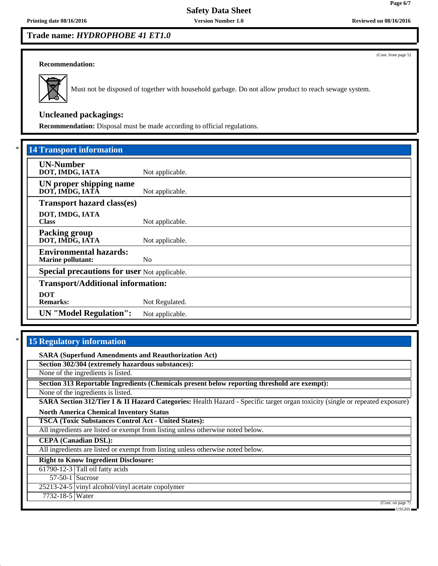# **Trade name:** *HYDROPHOBE 41 ET1.0*

(Cont. from page 5)

#### **Recommendation:**



Must not be disposed of together with household garbage. Do not allow product to reach sewage system.

# **Uncleaned packagings:**

**Recommendation:** Disposal must be made according to official regulations.

| *<br><b>14 Transport information</b>                      |                 |
|-----------------------------------------------------------|-----------------|
| <b>UN-Number</b><br>DOT, IMDG, IATA                       | Not applicable. |
| UN proper shipping name<br>DOT, IMDG, IATA                | Not applicable. |
| <b>Transport hazard class(es)</b>                         |                 |
| DOT, IMDG, IATA<br><b>Class</b>                           | Not applicable. |
| <b>Packing group</b><br>DOT, IMDG, IATA                   | Not applicable. |
| <b>Environmental hazards:</b><br><b>Marine pollutant:</b> | No.             |
| <b>Special precautions for user Not applicable.</b>       |                 |
| <b>Transport/Additional information:</b>                  |                 |
| <b>DOT</b><br><b>Remarks:</b>                             | Not Regulated.  |
| <b>UN</b> "Model Regulation":                             | Not applicable. |

## **15 Regulatory information**

**SARA (Superfund Amendments and Reauthorization Act) Section 302/304 (extremely hazardous substances):** None of the ingredients is listed. **Section 313 Reportable Ingredients (Chemicals present below reporting threshold are exempt):** None of the ingredients is listed. **SARA Section 312/Tier I & II Hazard Categories:** Health Hazard - Specific target organ toxicity (single or repeated exposure) **North America Chemical Inventory Status TSCA (Toxic Substances Control Act - United States):** All ingredients are listed or exempt from listing unless otherwise noted below. **CEPA (Canadian DSL):** All ingredients are listed or exempt from listing unless otherwise noted below. **Right to Know Ingredient Disclosure:** 61790-12-3 Tall oil fatty acids 57-50-1 Sucrose 25213-24-5 vinyl alcohol/vinyl acetate copolymer 7732-18-5 Water (Cont. on page USGHS